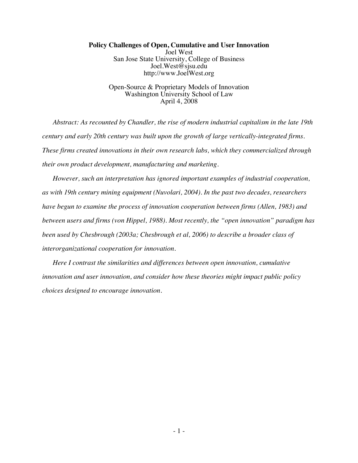## **Policy Challenges of Open, Cumulative and User Innovation** Joel West San Jose State University, College of Business Joel.West@sjsu.edu http://www.JoelWest.org

Open-Source & Proprietary Models of Innovation Washington University School of Law April 4, 2008

*Abstract: As recounted by Chandler, the rise of modern industrial capitalism in the late 19th century and early 20th century was built upon the growth of large vertically-integrated firms. These firms created innovations in their own research labs, which they commercialized through their own product development, manufacturing and marketing.*

*However, such an interpretation has ignored important examples of industrial cooperation, as with 19th century mining equipment (Nuvolari, 2004). In the past two decades, researchers have begun to examine the process of innovation cooperation between firms (Allen, 1983) and between users and firms (von Hippel, 1988). Most recently, the "open innovation" paradigm has been used by Chesbrough (2003a; Chesbrough et al, 2006) to describe a broader class of interorganizational cooperation for innovation.*

*Here I contrast the similarities and differences between open innovation, cumulative innovation and user innovation, and consider how these theories might impact public policy choices designed to encourage innovation.*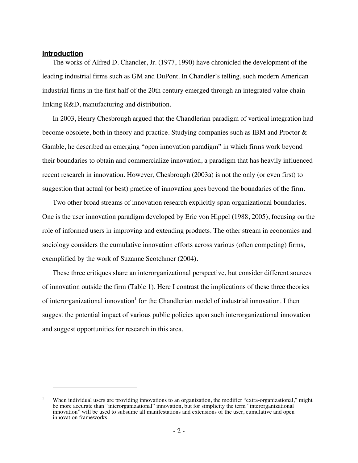#### **Introduction**

<u>.</u>

The works of Alfred D. Chandler, Jr. (1977, 1990) have chronicled the development of the leading industrial firms such as GM and DuPont. In Chandler's telling, such modern American industrial firms in the first half of the 20th century emerged through an integrated value chain linking R&D, manufacturing and distribution.

In 2003, Henry Chesbrough argued that the Chandlerian paradigm of vertical integration had become obsolete, both in theory and practice. Studying companies such as IBM and Proctor & Gamble, he described an emerging "open innovation paradigm" in which firms work beyond their boundaries to obtain and commercialize innovation, a paradigm that has heavily influenced recent research in innovation. However, Chesbrough (2003a) is not the only (or even first) to suggestion that actual (or best) practice of innovation goes beyond the boundaries of the firm.

Two other broad streams of innovation research explicitly span organizational boundaries. One is the user innovation paradigm developed by Eric von Hippel (1988, 2005), focusing on the role of informed users in improving and extending products. The other stream in economics and sociology considers the cumulative innovation efforts across various (often competing) firms, exemplified by the work of Suzanne Scotchmer (2004).

These three critiques share an interorganizational perspective, but consider different sources of innovation outside the firm (Table 1). Here I contrast the implications of these three theories of interorganizational innovation<sup>1</sup> for the Chandlerian model of industrial innovation. I then suggest the potential impact of various public policies upon such interorganizational innovation and suggest opportunities for research in this area.

When individual users are providing innovations to an organization, the modifier "extra-organizational," might be more accurate than "interorganizational" innovation, but for simplicity the term "interorganizational innovation" will be used to subsume all manifestations and extensions of the user, cumulative and open innovation frameworks.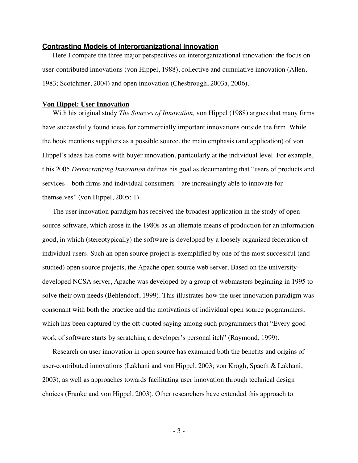#### **Contrasting Models of Interorganizational Innovation**

Here I compare the three major perspectives on interorganizational innovation: the focus on user-contributed innovations (von Hippel, 1988), collective and cumulative innovation (Allen, 1983; Scotchmer, 2004) and open innovation (Chesbrough, 2003a, 2006).

#### **Von Hippel: User Innovation**

With his original study *The Sources of Innovation,* von Hippel (1988) argues that many firms have successfully found ideas for commercially important innovations outside the firm. While the book mentions suppliers as a possible source, the main emphasis (and application) of von Hippel's ideas has come with buyer innovation, particularly at the individual level. For example, t his 2005 *Democratizing Innovation* defines his goal as documenting that "users of products and services—both firms and individual consumers—are increasingly able to innovate for themselves" (von Hippel, 2005: 1).

The user innovation paradigm has received the broadest application in the study of open source software, which arose in the 1980s as an alternate means of production for an information good, in which (stereotypically) the software is developed by a loosely organized federation of individual users. Such an open source project is exemplified by one of the most successful (and studied) open source projects, the Apache open source web server. Based on the universitydeveloped NCSA server, Apache was developed by a group of webmasters beginning in 1995 to solve their own needs (Behlendorf, 1999). This illustrates how the user innovation paradigm was consonant with both the practice and the motivations of individual open source programmers, which has been captured by the oft-quoted saying among such programmers that "Every good work of software starts by scratching a developer's personal itch" (Raymond, 1999).

Research on user innovation in open source has examined both the benefits and origins of user-contributed innovations (Lakhani and von Hippel, 2003; von Krogh, Spaeth & Lakhani, 2003), as well as approaches towards facilitating user innovation through technical design choices (Franke and von Hippel, 2003). Other researchers have extended this approach to

- 3 -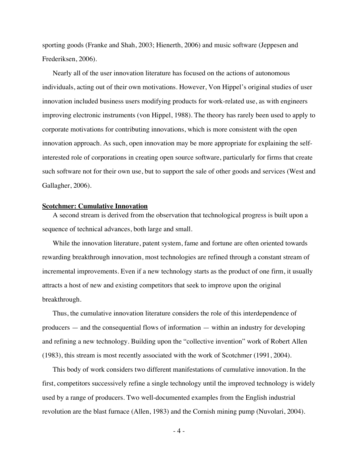sporting goods (Franke and Shah, 2003; Hienerth, 2006) and music software (Jeppesen and Frederiksen, 2006).

Nearly all of the user innovation literature has focused on the actions of autonomous individuals, acting out of their own motivations. However, Von Hippel's original studies of user innovation included business users modifying products for work-related use, as with engineers improving electronic instruments (von Hippel, 1988). The theory has rarely been used to apply to corporate motivations for contributing innovations, which is more consistent with the open innovation approach. As such, open innovation may be more appropriate for explaining the selfinterested role of corporations in creating open source software, particularly for firms that create such software not for their own use, but to support the sale of other goods and services (West and Gallagher, 2006).

#### **Scotchmer: Cumulative Innovation**

A second stream is derived from the observation that technological progress is built upon a sequence of technical advances, both large and small.

While the innovation literature, patent system, fame and fortune are often oriented towards rewarding breakthrough innovation, most technologies are refined through a constant stream of incremental improvements. Even if a new technology starts as the product of one firm, it usually attracts a host of new and existing competitors that seek to improve upon the original breakthrough.

Thus, the cumulative innovation literature considers the role of this interdependence of producers — and the consequential flows of information — within an industry for developing and refining a new technology. Building upon the "collective invention" work of Robert Allen (1983), this stream is most recently associated with the work of Scotchmer (1991, 2004).

This body of work considers two different manifestations of cumulative innovation. In the first, competitors successively refine a single technology until the improved technology is widely used by a range of producers. Two well-documented examples from the English industrial revolution are the blast furnace (Allen, 1983) and the Cornish mining pump (Nuvolari, 2004).

- 4 -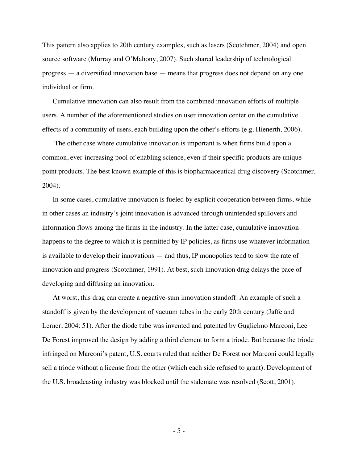This pattern also applies to 20th century examples, such as lasers (Scotchmer, 2004) and open source software (Murray and O'Mahony, 2007). Such shared leadership of technological progress — a diversified innovation base — means that progress does not depend on any one individual or firm.

Cumulative innovation can also result from the combined innovation efforts of multiple users. A number of the aforementioned studies on user innovation center on the cumulative effects of a community of users, each building upon the other's efforts (e.g. Hienerth, 2006).

 The other case where cumulative innovation is important is when firms build upon a common, ever-increasing pool of enabling science, even if their specific products are unique point products. The best known example of this is biopharmaceutical drug discovery (Scotchmer, 2004).

In some cases, cumulative innovation is fueled by explicit cooperation between firms, while in other cases an industry's joint innovation is advanced through unintended spillovers and information flows among the firms in the industry. In the latter case, cumulative innovation happens to the degree to which it is permitted by IP policies, as firms use whatever information is available to develop their innovations — and thus, IP monopolies tend to slow the rate of innovation and progress (Scotchmer, 1991). At best, such innovation drag delays the pace of developing and diffusing an innovation.

At worst, this drag can create a negative-sum innovation standoff. An example of such a standoff is given by the development of vacuum tubes in the early 20th century (Jaffe and Lerner, 2004: 51). After the diode tube was invented and patented by Guglielmo Marconi, Lee De Forest improved the design by adding a third element to form a triode. But because the triode infringed on Marconi's patent, U.S. courts ruled that neither De Forest nor Marconi could legally sell a triode without a license from the other (which each side refused to grant). Development of the U.S. broadcasting industry was blocked until the stalemate was resolved (Scott, 2001).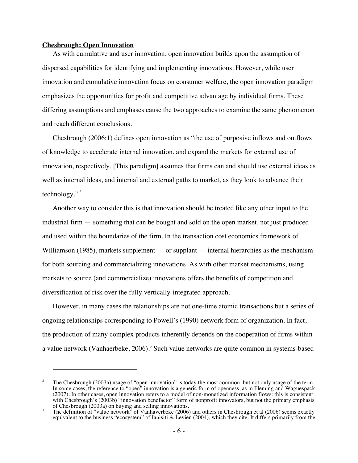#### **Chesbrough: Open Innovation**

<u>.</u>

As with cumulative and user innovation, open innovation builds upon the assumption of dispersed capabilities for identifying and implementing innovations. However, while user innovation and cumulative innovation focus on consumer welfare, the open innovation paradigm emphasizes the opportunities for profit and competitive advantage by individual firms. These differing assumptions and emphases cause the two approaches to examine the same phenomenon and reach different conclusions.

Chesbrough (2006:1) defines open innovation as "the use of purposive inflows and outflows of knowledge to accelerate internal innovation, and expand the markets for external use of innovation, respectively. [This paradigm] assumes that firms can and should use external ideas as well as internal ideas, and internal and external paths to market, as they look to advance their technology."<sup>2</sup>

Another way to consider this is that innovation should be treated like any other input to the industrial firm — something that can be bought and sold on the open market, not just produced and used within the boundaries of the firm. In the transaction cost economics framework of Williamson (1985), markets supplement — or supplant — internal hierarchies as the mechanism for both sourcing and commercializing innovations. As with other market mechanisms, using markets to source (and commercialize) innovations offers the benefits of competition and diversification of risk over the fully vertically-integrated approach.

However, in many cases the relationships are not one-time atomic transactions but a series of ongoing relationships corresponding to Powell's (1990) network form of organization. In fact, the production of many complex products inherently depends on the cooperation of firms within a value network (Vanhaerbeke, 2006).<sup>3</sup> Such value networks are quite common in systems-based

<sup>&</sup>lt;sup>2</sup> The Chesbrough (2003a) usage of "open innovation" is today the most common, but not only usage of the term. In some cases, the reference to "open" innovation is a generic form of openness, as in Fleming and Waguespack (2007). In other cases, open innovation refers to a model of non-monetized information flows: this is consistent with Chesbrough's (2003b) "innovation benefactor" form of nonprofit innovators, but not the primary emphasis of Chesbrough (2003a) on buying and selling innovations.

<sup>&</sup>lt;sup>3</sup> The definition of "value network" of Vanhaverbeke (2006) and others in Chesbrough et al (2006) seems exactly equivalent to the business "ecosystem" of Ianisiti & Levien (2004), which they cite. It differs primarily from the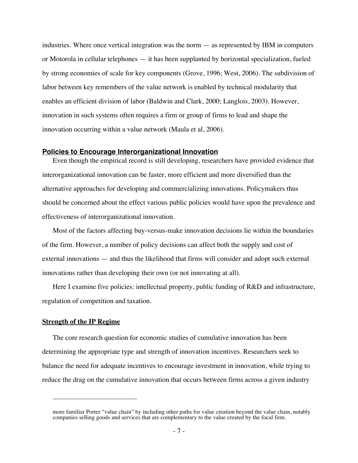industries. Where once vertical integration was the norm — as represented by IBM in computers or Motorola in cellular telephones — it has been supplanted by horizontal specialization, fueled by strong economies of scale for key components (Grove, 1996; West, 2006). The subdivision of labor between key remembers of the value network is enabled by technical modularity that enables an efficient division of labor (Baldwin and Clark, 2000; Langlois, 2003). However, innovation in such systems often requires a firm or group of firms to lead and shape the innovation occurring within a value network (Maula et al, 2006).

## **Policies to Encourage Interorganizational Innovation**

Even though the empirical record is still developing, researchers have provided evidence that interorganizational innovation can be faster, more efficient and more diversified than the alternative approaches for developing and commercializing innovations. Policymakers thus should be concerned about the effect various public policies would have upon the prevalence and effectiveness of interorganizational innovation.

Most of the factors affecting buy-versus-make innovation decisions lie within the boundaries of the firm. However, a number of policy decisions can affect both the supply and cost of external innovations — and thus the likelihood that firms will consider and adopt such external innovations rather than developing their own (or not innovating at all).

Here I examine five policies: intellectual property, public funding of R&D and infrastructure, regulation of competition and taxation.

#### **Strength of the IP Regime**

-

The core research question for economic studies of cumulative innovation has been determining the appropriate type and strength of innovation incentives. Researchers seek to balance the need for adequate incentives to encourage investment in innovation, while trying to reduce the drag on the cumulative innovation that occurs between firms across a given industry

more familiar Porter "value chain" by including other paths for value creation beyond the value chain, notably companies selling goods and services that are complementary to the value created by the focal firm.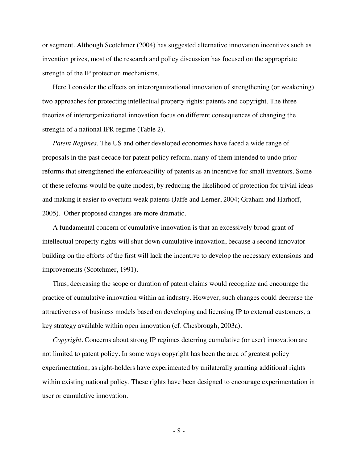or segment. Although Scotchmer (2004) has suggested alternative innovation incentives such as invention prizes, most of the research and policy discussion has focused on the appropriate strength of the IP protection mechanisms.

Here I consider the effects on interorganizational innovation of strengthening (or weakening) two approaches for protecting intellectual property rights: patents and copyright. The three theories of interorganizational innovation focus on different consequences of changing the strength of a national IPR regime (Table 2).

*Patent Regimes.* The US and other developed economies have faced a wide range of proposals in the past decade for patent policy reform, many of them intended to undo prior reforms that strengthened the enforceability of patents as an incentive for small inventors. Some of these reforms would be quite modest, by reducing the likelihood of protection for trivial ideas and making it easier to overturn weak patents (Jaffe and Lerner, 2004; Graham and Harhoff, 2005). Other proposed changes are more dramatic.

A fundamental concern of cumulative innovation is that an excessively broad grant of intellectual property rights will shut down cumulative innovation, because a second innovator building on the efforts of the first will lack the incentive to develop the necessary extensions and improvements (Scotchmer, 1991).

Thus, decreasing the scope or duration of patent claims would recognize and encourage the practice of cumulative innovation within an industry. However, such changes could decrease the attractiveness of business models based on developing and licensing IP to external customers, a key strategy available within open innovation (cf. Chesbrough, 2003a).

*Copyright.* Concerns about strong IP regimes deterring cumulative (or user) innovation are not limited to patent policy. In some ways copyright has been the area of greatest policy experimentation, as right-holders have experimented by unilaterally granting additional rights within existing national policy. These rights have been designed to encourage experimentation in user or cumulative innovation.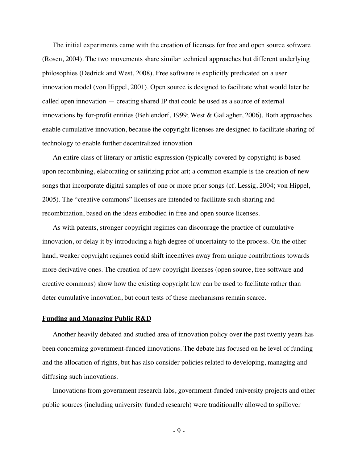The initial experiments came with the creation of licenses for free and open source software (Rosen, 2004). The two movements share similar technical approaches but different underlying philosophies (Dedrick and West, 2008). Free software is explicitly predicated on a user innovation model (von Hippel, 2001). Open source is designed to facilitate what would later be called open innovation — creating shared IP that could be used as a source of external innovations by for-profit entities (Behlendorf, 1999; West & Gallagher, 2006). Both approaches enable cumulative innovation, because the copyright licenses are designed to facilitate sharing of technology to enable further decentralized innovation

An entire class of literary or artistic expression (typically covered by copyright) is based upon recombining, elaborating or satirizing prior art; a common example is the creation of new songs that incorporate digital samples of one or more prior songs (cf. Lessig, 2004; von Hippel, 2005). The "creative commons" licenses are intended to facilitate such sharing and recombination, based on the ideas embodied in free and open source licenses.

As with patents, stronger copyright regimes can discourage the practice of cumulative innovation, or delay it by introducing a high degree of uncertainty to the process. On the other hand, weaker copyright regimes could shift incentives away from unique contributions towards more derivative ones. The creation of new copyright licenses (open source, free software and creative commons) show how the existing copyright law can be used to facilitate rather than deter cumulative innovation, but court tests of these mechanisms remain scarce.

#### **Funding and Managing Public R&D**

Another heavily debated and studied area of innovation policy over the past twenty years has been concerning government-funded innovations. The debate has focused on he level of funding and the allocation of rights, but has also consider policies related to developing, managing and diffusing such innovations.

Innovations from government research labs, government-funded university projects and other public sources (including university funded research) were traditionally allowed to spillover

- 9 -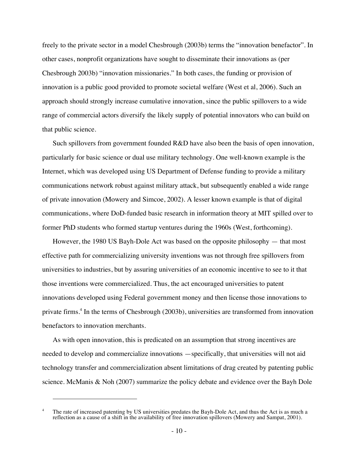freely to the private sector in a model Chesbrough (2003b) terms the "innovation benefactor". In other cases, nonprofit organizations have sought to disseminate their innovations as (per Chesbrough 2003b) "innovation missionaries." In both cases, the funding or provision of innovation is a public good provided to promote societal welfare (West et al, 2006). Such an approach should strongly increase cumulative innovation, since the public spillovers to a wide range of commercial actors diversify the likely supply of potential innovators who can build on that public science.

Such spillovers from government founded R&D have also been the basis of open innovation, particularly for basic science or dual use military technology. One well-known example is the Internet, which was developed using US Department of Defense funding to provide a military communications network robust against military attack, but subsequently enabled a wide range of private innovation (Mowery and Simcoe, 2002). A lesser known example is that of digital communications, where DoD-funded basic research in information theory at MIT spilled over to former PhD students who formed startup ventures during the 1960s (West, forthcoming).

However, the 1980 US Bayh-Dole Act was based on the opposite philosophy — that most effective path for commercializing university inventions was not through free spillovers from universities to industries, but by assuring universities of an economic incentive to see to it that those inventions were commercialized. Thus, the act encouraged universities to patent innovations developed using Federal government money and then license those innovations to private firms.4 In the terms of Chesbrough (2003b), universities are transformed from innovation benefactors to innovation merchants.

As with open innovation, this is predicated on an assumption that strong incentives are needed to develop and commercialize innovations —specifically, that universities will not aid technology transfer and commercialization absent limitations of drag created by patenting public science. McManis & Noh (2007) summarize the policy debate and evidence over the Bayh Dole

-

<sup>&</sup>lt;sup>4</sup> The rate of increased patenting by US universities predates the Bayh-Dole Act, and thus the Act is as much a reflection as a cause of a shift in the availability of free innovation spillovers (Mowery and Sampat, 2001).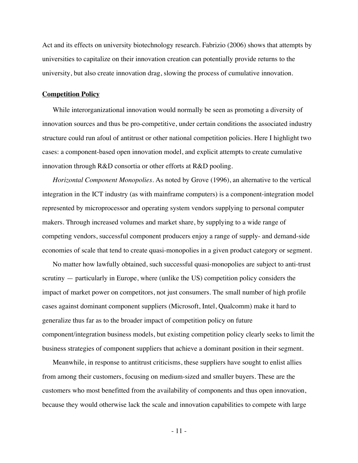Act and its effects on university biotechnology research. Fabrizio (2006) shows that attempts by universities to capitalize on their innovation creation can potentially provide returns to the university, but also create innovation drag, slowing the process of cumulative innovation.

#### **Competition Policy**

While interorganizational innovation would normally be seen as promoting a diversity of innovation sources and thus be pro-competitive, under certain conditions the associated industry structure could run afoul of antitrust or other national competition policies. Here I highlight two cases: a component-based open innovation model, and explicit attempts to create cumulative innovation through R&D consortia or other efforts at R&D pooling.

*Horizontal Component Monopolies.* As noted by Grove (1996), an alternative to the vertical integration in the ICT industry (as with mainframe computers) is a component-integration model represented by microprocessor and operating system vendors supplying to personal computer makers. Through increased volumes and market share, by supplying to a wide range of competing vendors, successful component producers enjoy a range of supply- and demand-side economies of scale that tend to create quasi-monopolies in a given product category or segment.

No matter how lawfully obtained, such successful quasi-monopolies are subject to anti-trust scrutiny — particularly in Europe, where (unlike the US) competition policy considers the impact of market power on competitors, not just consumers. The small number of high profile cases against dominant component suppliers (Microsoft, Intel, Qualcomm) make it hard to generalize thus far as to the broader impact of competition policy on future component/integration business models, but existing competition policy clearly seeks to limit the business strategies of component suppliers that achieve a dominant position in their segment.

Meanwhile, in response to antitrust criticisms, these suppliers have sought to enlist allies from among their customers, focusing on medium-sized and smaller buyers. These are the customers who most benefitted from the availability of components and thus open innovation, because they would otherwise lack the scale and innovation capabilities to compete with large

- 11 -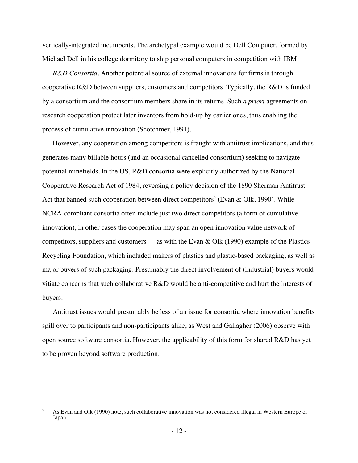vertically-integrated incumbents. The archetypal example would be Dell Computer, formed by Michael Dell in his college dormitory to ship personal computers in competition with IBM.

*R&D Consortia.* Another potential source of external innovations for firms is through cooperative R&D between suppliers, customers and competitors. Typically, the R&D is funded by a consortium and the consortium members share in its returns. Such *a priori* agreements on research cooperation protect later inventors from hold-up by earlier ones, thus enabling the process of cumulative innovation (Scotchmer, 1991).

However, any cooperation among competitors is fraught with antitrust implications, and thus generates many billable hours (and an occasional cancelled consortium) seeking to navigate potential minefields. In the US, R&D consortia were explicitly authorized by the National Cooperative Research Act of 1984, reversing a policy decision of the 1890 Sherman Antitrust Act that banned such cooperation between direct competitors<sup>5</sup> (Evan & Olk, 1990). While NCRA-compliant consortia often include just two direct competitors (a form of cumulative innovation), in other cases the cooperation may span an open innovation value network of competitors, suppliers and customers — as with the Evan & Olk (1990) example of the Plastics Recycling Foundation, which included makers of plastics and plastic-based packaging, as well as major buyers of such packaging. Presumably the direct involvement of (industrial) buyers would vitiate concerns that such collaborative R&D would be anti-competitive and hurt the interests of buyers.

Antitrust issues would presumably be less of an issue for consortia where innovation benefits spill over to participants and non-participants alike, as West and Gallagher (2006) observe with open source software consortia. However, the applicability of this form for shared R&D has yet to be proven beyond software production.

-

<sup>5</sup> As Evan and Olk (1990) note, such collaborative innovation was not considered illegal in Western Europe or Japan.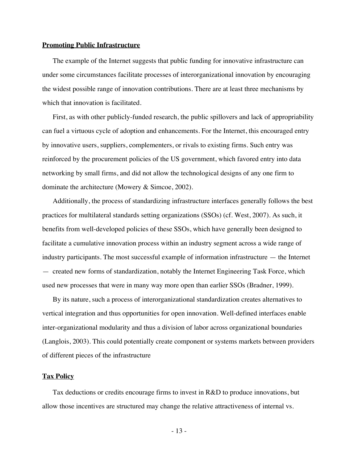#### **Promoting Public Infrastructure**

The example of the Internet suggests that public funding for innovative infrastructure can under some circumstances facilitate processes of interorganizational innovation by encouraging the widest possible range of innovation contributions. There are at least three mechanisms by which that innovation is facilitated.

First, as with other publicly-funded research, the public spillovers and lack of appropriability can fuel a virtuous cycle of adoption and enhancements. For the Internet, this encouraged entry by innovative users, suppliers, complementers, or rivals to existing firms. Such entry was reinforced by the procurement policies of the US government, which favored entry into data networking by small firms, and did not allow the technological designs of any one firm to dominate the architecture (Mowery & Simcoe, 2002).

Additionally, the process of standardizing infrastructure interfaces generally follows the best practices for multilateral standards setting organizations (SSOs) (cf. West, 2007). As such, it benefits from well-developed policies of these SSOs, which have generally been designed to facilitate a cumulative innovation process within an industry segment across a wide range of industry participants. The most successful example of information infrastructure — the Internet — created new forms of standardization, notably the Internet Engineering Task Force, which used new processes that were in many way more open than earlier SSOs (Bradner, 1999).

By its nature, such a process of interorganizational standardization creates alternatives to vertical integration and thus opportunities for open innovation. Well-defined interfaces enable inter-organizational modularity and thus a division of labor across organizational boundaries (Langlois, 2003). This could potentially create component or systems markets between providers of different pieces of the infrastructure

#### **Tax Policy**

Tax deductions or credits encourage firms to invest in R&D to produce innovations, but allow those incentives are structured may change the relative attractiveness of internal vs.

- 13 -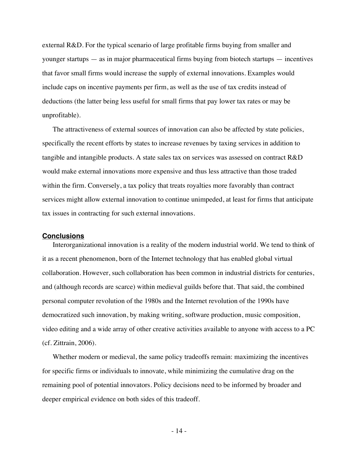external R&D. For the typical scenario of large profitable firms buying from smaller and younger startups — as in major pharmaceutical firms buying from biotech startups — incentives that favor small firms would increase the supply of external innovations. Examples would include caps on incentive payments per firm, as well as the use of tax credits instead of deductions (the latter being less useful for small firms that pay lower tax rates or may be unprofitable).

The attractiveness of external sources of innovation can also be affected by state policies, specifically the recent efforts by states to increase revenues by taxing services in addition to tangible and intangible products. A state sales tax on services was assessed on contract R&D would make external innovations more expensive and thus less attractive than those traded within the firm. Conversely, a tax policy that treats royalties more favorably than contract services might allow external innovation to continue unimpeded, at least for firms that anticipate tax issues in contracting for such external innovations.

#### **Conclusions**

Interorganizational innovation is a reality of the modern industrial world. We tend to think of it as a recent phenomenon, born of the Internet technology that has enabled global virtual collaboration. However, such collaboration has been common in industrial districts for centuries, and (although records are scarce) within medieval guilds before that. That said, the combined personal computer revolution of the 1980s and the Internet revolution of the 1990s have democratized such innovation, by making writing, software production, music composition, video editing and a wide array of other creative activities available to anyone with access to a PC (cf. Zittrain, 2006).

Whether modern or medieval, the same policy tradeoffs remain: maximizing the incentives for specific firms or individuals to innovate, while minimizing the cumulative drag on the remaining pool of potential innovators. Policy decisions need to be informed by broader and deeper empirical evidence on both sides of this tradeoff.

- 14 -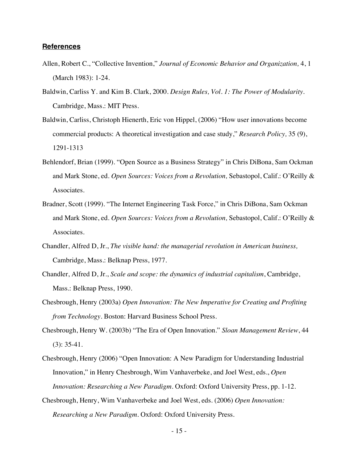### **References**

- Allen, Robert C., "Collective Invention," *Journal of Economic Behavior and Organization,* 4, 1 (March 1983): 1-24.
- Baldwin, Carliss Y. and Kim B. Clark, 2000. *Design Rules, Vol. 1: The Power of Modularity.* Cambridge, Mass.: MIT Press.
- Baldwin, Carliss, Christoph Hienerth, Eric von Hippel, (2006) "How user innovations become commercial products: A theoretical investigation and case study," *Research Policy,* 35 (9), 1291-1313
- Behlendorf, Brian (1999). "Open Source as a Business Strategy" in Chris DiBona, Sam Ockman and Mark Stone, ed. *Open Sources: Voices from a Revolution,* Sebastopol, Calif.: O'Reilly & Associates.
- Bradner, Scott (1999). "The Internet Engineering Task Force," in Chris DiBona, Sam Ockman and Mark Stone, ed. *Open Sources: Voices from a Revolution,* Sebastopol, Calif.: O'Reilly & Associates.
- Chandler, Alfred D, Jr., *The visible hand: the managerial revolution in American business,* Cambridge, Mass.: Belknap Press, 1977.
- Chandler, Alfred D, Jr., *Scale and scope: the dynamics of industrial capitalism*, Cambridge, Mass.: Belknap Press, 1990.
- Chesbrough, Henry (2003a) *Open Innovation: The New Imperative for Creating and Profiting from Technology.* Boston: Harvard Business School Press.
- Chesbrough, Henry W. (2003b) "The Era of Open Innovation." *Sloan Management Review*, 44 (3): 35-41.
- Chesbrough, Henry (2006) "Open Innovation: A New Paradigm for Understanding Industrial Innovation," in Henry Chesbrough, Wim Vanhaverbeke, and Joel West, eds., *Open Innovation: Researching a New Paradigm.* Oxford: Oxford University Press, pp. 1-12.
- Chesbrough, Henry, Wim Vanhaverbeke and Joel West, eds. (2006) *Open Innovation: Researching a New Paradigm*. Oxford: Oxford University Press.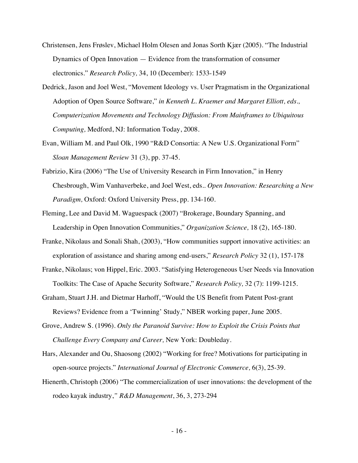- Christensen, Jens Frøslev, Michael Holm Olesen and Jonas Sorth Kjær (2005). "The Industrial Dynamics of Open Innovation — Evidence from the transformation of consumer electronics." *Research Policy,* 34, 10 (December): 1533-1549
- Dedrick, Jason and Joel West, "Movement Ideology vs. User Pragmatism in the Organizational Adoption of Open Source Software," *in Kenneth L. Kraemer and Margaret Elliott, eds., Computerization Movements and Technology Diffusion: From Mainframes to Ubiquitous Computing,* Medford, NJ: Information Today, 2008.
- Evan, William M. and Paul Olk, 1990 "R&D Consortia: A New U.S. Organizational Form" *Sloan Management Review* 31 (3), pp. 37-45.
- Fabrizio, Kira (2006) "The Use of University Research in Firm Innovation," in Henry Chesbrough, Wim Vanhaverbeke, and Joel West, eds.. *Open Innovation: Researching a New Paradigm,* Oxford: Oxford University Press, pp. 134-160.
- Fleming, Lee and David M. Waguespack (2007) "Brokerage, Boundary Spanning, and Leadership in Open Innovation Communities," *Organization Science,* 18 (2), 165-180.
- Franke, Nikolaus and Sonali Shah, (2003), "How communities support innovative activities: an exploration of assistance and sharing among end-users," *Research Policy* 32 (1), 157-178
- Franke, Nikolaus; von Hippel, Eric. 2003. "Satisfying Heterogeneous User Needs via Innovation Toolkits: The Case of Apache Security Software," *Research Policy,* 32 (7): 1199-1215.
- Graham, Stuart J.H. and Dietmar Harhoff, "Would the US Benefit from Patent Post-grant Reviews? Evidence from a 'Twinning' Study," NBER working paper, June 2005.
- Grove, Andrew S. (1996). *Only the Paranoid Survive: How to Exploit the Crisis Points that Challenge Every Company and Career,* New York: Doubleday.
- Hars, Alexander and Ou, Shaosong (2002) "Working for free? Motivations for participating in open-source projects." *International Journal of Electronic Commerce,* 6(3), 25-39.
- Hienerth, Christoph (2006) "The commercialization of user innovations: the development of the rodeo kayak industry,*" R&D Management*, 36, 3, 273-294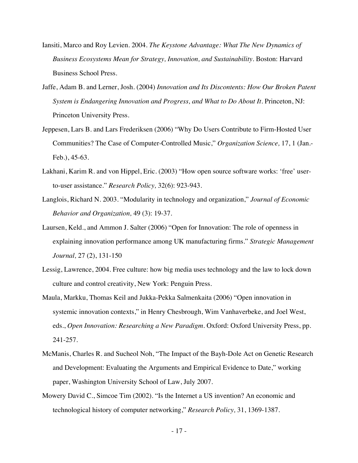- Iansiti, Marco and Roy Levien. 2004. *The Keystone Advantage: What The New Dynamics of Business Ecosystems Mean for Strategy, Innovation, and Sustainability.* Boston: Harvard Business School Press.
- Jaffe, Adam B. and Lerner, Josh. (2004) *Innovation and Its Discontents: How Our Broken Patent System is Endangering Innovation and Progress, and What to Do About It. Princeton, NJ:* Princeton University Press.
- Jeppesen, Lars B. and Lars Frederiksen (2006) "Why Do Users Contribute to Firm-Hosted User Communities? The Case of Computer-Controlled Music," *Organization Science,* 17, 1 (Jan.- Feb.), 45-63.
- Lakhani, Karim R. and von Hippel, Eric. (2003) "How open source software works: 'free' userto-user assistance." *Research Policy,* 32(6): 923-943.
- Langlois, Richard N. 2003. "Modularity in technology and organization," *Journal of Economic Behavior and Organization,* 49 (3): 19-37.
- Laursen, Keld., and Ammon J. Salter (2006) "Open for Innovation: The role of openness in explaining innovation performance among UK manufacturing firms." *Strategic Management Journal,* 27 (2), 131-150
- Lessig, Lawrence, 2004. Free culture: how big media uses technology and the law to lock down culture and control creativity, New York: Penguin Press.
- Maula, Markku, Thomas Keil and Jukka-Pekka Salmenkaita (2006) "Open innovation in systemic innovation contexts," in Henry Chesbrough, Wim Vanhaverbeke, and Joel West, eds., *Open Innovation: Researching a New Paradigm.* Oxford: Oxford University Press, pp. 241-257.
- McManis, Charles R. and Sucheol Noh, "The Impact of the Bayh-Dole Act on Genetic Research and Development: Evaluating the Arguments and Empirical Evidence to Date," working paper, Washington University School of Law, July 2007.
- Mowery David C., Simcoe Tim (2002). "Is the Internet a US invention? An economic and technological history of computer networking," *Research Policy,* 31, 1369-1387.

- 17 -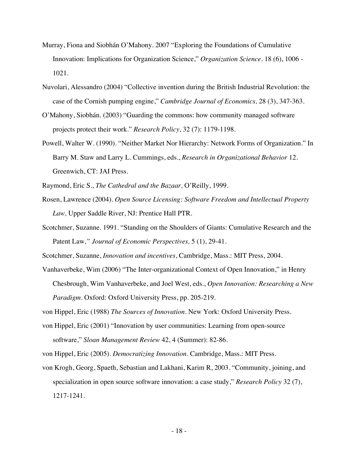- Murray, Fiona and Siobhán O'Mahony. 2007 "Exploring the Foundations of Cumulative Innovation: Implications for Organization Science," *Organization Science.* 18 (6), 1006 - 1021.
- Nuvolari, Alessandro (2004) "Collective invention during the British Industrial Revolution: the case of the Cornish pumping engine," *Cambridge Journal of Economics,* 28 (3), 347-363.
- O'Mahony, Siobhán. (2003) "Guarding the commons: how community managed software projects protect their work." *Research Policy*, 32 (7): 1179-1198.
- Powell, Walter W. (1990). "Neither Market Nor Hierarchy: Network Forms of Organization." In Barry M. Staw and Larry L. Cummings, eds., *Research in Organizational Behavior* 12. Greenwich, CT: JAI Press.

Raymond, Eric S., *The Cathedral and the Bazaar,* O'Reilly, 1999.

- Rosen, Lawrence (2004). *Open Source Licensing: Software Freedom and Intellectual Property Law,* Upper Saddle River, NJ: Prentice Hall PTR.
- Scotchmer, Suzanne. 1991. "Standing on the Shoulders of Giants: Cumulative Research and the Patent Law*," Journal of Economic Perspectives,* 5 (1), 29-41.

Scotchmer, Suzanne, *Innovation and incentives*, Cambridge, Mass.: MIT Press, 2004.

Vanhaverbeke, Wim (2006) "The Inter-organizational Context of Open Innovation," in Henry Chesbrough, Wim Vanhaverbeke, and Joel West, eds., *Open Innovation: Researching a New Paradigm.* Oxford: Oxford University Press, pp. 205-219.

von Hippel, Eric (1988) *The Sources of Innovation.* New York: Oxford University Press.

von Hippel, Eric (2001) "Innovation by user communities: Learning from open-source software," *Sloan Management Review* 42, 4 (Summer): 82-86.

von Hippel, Eric (2005). *Democratizing Innovation.* Cambridge, Mass.: MIT Press.

von Krogh, Georg, Spaeth, Sebastian and Lakhani, Karim R, 2003. "Community, joining, and specialization in open source software innovation: a case study," *Research Policy* 32 (7), 1217-1241.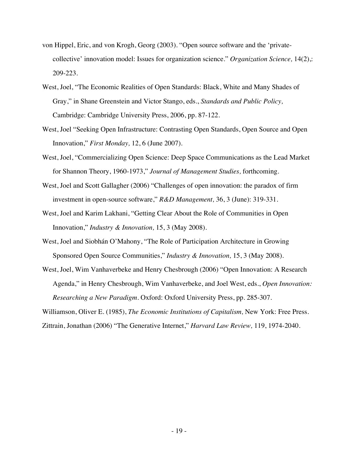- von Hippel, Eric, and von Krogh, Georg (2003). "Open source software and the 'privatecollective' innovation model: Issues for organization science." *Organization Science,* 14(2),: 209-223.
- West, Joel, "The Economic Realities of Open Standards: Black, White and Many Shades of Gray," in Shane Greenstein and Victor Stango, eds., *Standards and Public Policy,*  Cambridge: Cambridge University Press, 2006, pp. 87-122.
- West, Joel "Seeking Open Infrastructure: Contrasting Open Standards, Open Source and Open Innovation," *First Monday,* 12, 6 (June 2007).
- West, Joel, "Commercializing Open Science: Deep Space Communications as the Lead Market for Shannon Theory, 1960-1973," *Journal of Management Studies,* forthcoming.
- West, Joel and Scott Gallagher (2006) "Challenges of open innovation: the paradox of firm investment in open-source software," *R&D Management,* 36, 3 (June): 319-331.
- West, Joel and Karim Lakhani, "Getting Clear About the Role of Communities in Open Innovation," *Industry & Innovation,* 15, 3 (May 2008).
- West, Joel and Siobhán O'Mahony, "The Role of Participation Architecture in Growing Sponsored Open Source Communities," *Industry & Innovation,* 15, 3 (May 2008).
- West, Joel, Wim Vanhaverbeke and Henry Chesbrough (2006) "Open Innovation: A Research Agenda," in Henry Chesbrough, Wim Vanhaverbeke, and Joel West, eds., *Open Innovation: Researching a New Paradigm.* Oxford: Oxford University Press, pp. 285-307.

Williamson, Oliver E. (1985), *The Economic Institutions of Capitalism,* New York: Free Press. Zittrain, Jonathan (2006) "The Generative Internet," *Harvard Law Review,* 119, 1974-2040.